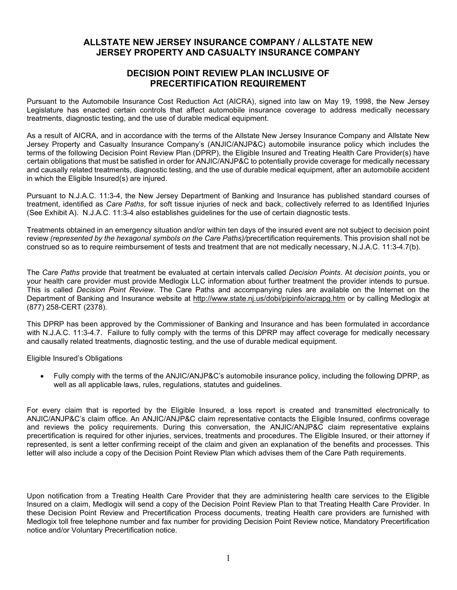# ALLSTATE NEW JERSEY INSURANCE COMPANY / ALLSTATE NEW JERSEY PROPERTY AND CASUALTY INSURANCE COMPANY

## DECISION POINT REVIEW PLAN INCLUSIVE OF PRECERTIFICATION REQUIREMENT

Pursuant to the Automobile Insurance Cost Reduction Act (AICRA), signed into law on May 19, 1998, the New Jersey Legislature has enacted certain controls that affect automobile insurance coverage to address medically necessary treatments, diagnostic testing, and the use of durable medical equipment.

As a result of AICRA, and in accordance with the terms of the Allstate New Jersey Insurance Company and Allstate New Jersey Property and Casualty Insurance Company's (ANJIC/ANJP&C) automobile insurance policy which includes the terms of the following Decision Point Review Plan (DPRP), the Eligible Insured and Treating Health Care Provider(s) have certain obligations that must be satisfied in order for ANJIC/ANJP&C to potentially provide coverage for medically necessary and causally related treatments, diagnostic testing, and the use of durable medical equipment, after an automobile accident in which the Eligible Insured(s) are injured.

Pursuant to N.J.A.C. 11:3-4, the New Jersey Department of Banking and Insurance has published standard courses of treatment, identified as Care Paths, for soft tissue injuries of neck and back, collectively referred to as Identified Injuries (See Exhibit A). N.J.A.C. 11:3-4 also establishes guidelines for the use of certain diagnostic tests.

Treatments obtained in an emergency situation and/or within ten days of the insured event are not subject to decision point review (represented by the hexagonal symbols on the Care Paths)/precertification requirements. This provision shall not be construed so as to require reimbursement of tests and treatment that are not medically necessary, N.J.A.C. 11:3-4.7(b).

The Care Paths provide that treatment be evaluated at certain intervals called Decision Points. At decision points, you or your health care provider must provide Medlogix LLC information about further treatment the provider intends to pursue. This is called Decision Point Review. The Care Paths and accompanying rules are available on the Internet on the Department of Banking and Insurance website at http://www.state.nj.us/dobi/pipinfo/aicrapg.htm or by calling Medlogix at (877) 258-CERT (2378).

This DPRP has been approved by the Commissioner of Banking and Insurance and has been formulated in accordance with N.J.A.C. 11:3-4.7. Failure to fully comply with the terms of this DPRP may affect coverage for medically necessary and causally related treatments, diagnostic testing, and the use of durable medical equipment.

Eligible Insured's Obligations

 Fully comply with the terms of the ANJIC/ANJP&C's automobile insurance policy, including the following DPRP, as well as all applicable laws, rules, regulations, statutes and guidelines.

For every claim that is reported by the Eligible Insured, a loss report is created and transmitted electronically to ANJIC/ANJP&C's claim office. An ANJIC/ANJP&C claim representative contacts the Eligible Insured, confirms coverage and reviews the policy requirements. During this conversation, the ANJIC/ANJP&C claim representative explains precertification is required for other injuries, services, treatments and procedures. The Eligible Insured, or their attorney if represented, is sent a letter confirming receipt of the claim and given an explanation of the benefits and processes. This letter will also include a copy of the Decision Point Review Plan which advises them of the Care Path requirements.

Upon notification from a Treating Health Care Provider that they are administering health care services to the Eligible Insured on a claim, Medlogix will send a copy of the Decision Point Review Plan to that Treating Health Care Provider. In these Decision Point Review and Precertification Process documents, treating Health care providers are furnished with Medlogix toll free telephone number and fax number for providing Decision Point Review notice, Mandatory Precertification notice and/or Voluntary Precertification notice.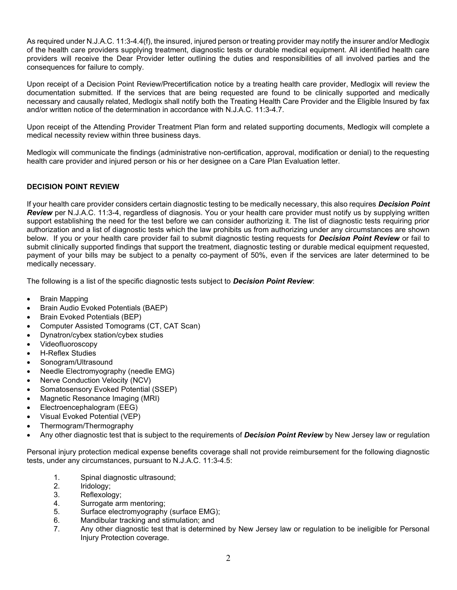As required under N.J.A.C. 11:3-4.4(f), the insured, injured person or treating provider may notify the insurer and/or Medlogix of the health care providers supplying treatment, diagnostic tests or durable medical equipment. All identified health care providers will receive the Dear Provider letter outlining the duties and responsibilities of all involved parties and the consequences for failure to comply.

Upon receipt of a Decision Point Review/Precertification notice by a treating health care provider, Medlogix will review the documentation submitted. If the services that are being requested are found to be clinically supported and medically necessary and causally related, Medlogix shall notify both the Treating Health Care Provider and the Eligible Insured by fax and/or written notice of the determination in accordance with N.J.A.C. 11:3-4.7.

Upon receipt of the Attending Provider Treatment Plan form and related supporting documents, Medlogix will complete a medical necessity review within three business days.

Medlogix will communicate the findings (administrative non-certification, approval, modification or denial) to the requesting health care provider and injured person or his or her designee on a Care Plan Evaluation letter.

## DECISION POINT REVIEW

If your health care provider considers certain diagnostic testing to be medically necessary, this also requires **Decision Point** Review per N.J.A.C. 11:3-4, regardless of diagnosis. You or your health care provider must notify us by supplying written support establishing the need for the test before we can consider authorizing it. The list of diagnostic tests requiring prior authorization and a list of diagnostic tests which the law prohibits us from authorizing under any circumstances are shown below. If you or your health care provider fail to submit diagnostic testing requests for **Decision Point Review** or fail to submit clinically supported findings that support the treatment, diagnostic testing or durable medical equipment requested, payment of your bills may be subject to a penalty co-payment of 50%, even if the services are later determined to be medically necessary.

The following is a list of the specific diagnostic tests subject to **Decision Point Review**:

- Brain Mapping
- Brain Audio Evoked Potentials (BAEP)
- Brain Evoked Potentials (BEP)
- Computer Assisted Tomograms (CT, CAT Scan)
- Dynatron/cybex station/cybex studies
- Videofluoroscopy
- H-Reflex Studies
- Sonogram/Ultrasound
- Needle Electromyography (needle EMG)
- Nerve Conduction Velocity (NCV)
- Somatosensory Evoked Potential (SSEP)
- Magnetic Resonance Imaging (MRI)
- Electroencephalogram (EEG)
- Visual Evoked Potential (VEP)
- Thermogram/Thermography
- Any other diagnostic test that is subject to the requirements of **Decision Point Review** by New Jersey law or regulation

Personal injury protection medical expense benefits coverage shall not provide reimbursement for the following diagnostic tests, under any circumstances, pursuant to N.J.A.C. 11:3-4.5:

- 1. Spinal diagnostic ultrasound;
- 2. Iridology;
- 3. Reflexology;
- 4. Surrogate arm mentoring;
- 5. Surface electromyography (surface EMG);
- 6. Mandibular tracking and stimulation; and
- 7. Any other diagnostic test that is determined by New Jersey law or regulation to be ineligible for Personal Injury Protection coverage.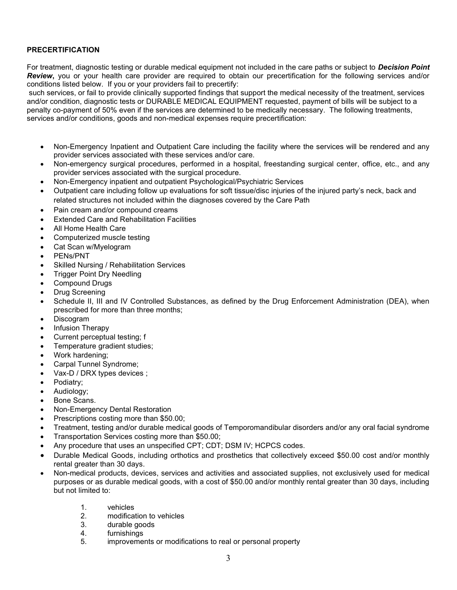## PRECERTIFICATION

For treatment, diagnostic testing or durable medical equipment not included in the care paths or subject to Decision Point Review, you or your health care provider are required to obtain our precertification for the following services and/or conditions listed below. If you or your providers fail to precertify:

 such services, or fail to provide clinically supported findings that support the medical necessity of the treatment, services and/or condition, diagnostic tests or DURABLE MEDICAL EQUIPMENT requested, payment of bills will be subject to a penalty co-payment of 50% even if the services are determined to be medically necessary. The following treatments, services and/or conditions, goods and non-medical expenses require precertification:

- Non-Emergency Inpatient and Outpatient Care including the facility where the services will be rendered and any provider services associated with these services and/or care.
- Non-emergency surgical procedures, performed in a hospital, freestanding surgical center, office, etc., and any provider services associated with the surgical procedure.
- Non-Emergency inpatient and outpatient Psychological/Psychiatric Services
- Outpatient care including follow up evaluations for soft tissue/disc injuries of the injured party's neck, back and related structures not included within the diagnoses covered by the Care Path
- Pain cream and/or compound creams
- Extended Care and Rehabilitation Facilities
- All Home Health Care
- Computerized muscle testing
- Cat Scan w/Myelogram
- PENs/PNT
- Skilled Nursing / Rehabilitation Services
- Trigger Point Dry Needling
- Compound Drugs
- Drug Screening
- Schedule II, III and IV Controlled Substances, as defined by the Drug Enforcement Administration (DEA), when prescribed for more than three months;
- Discogram
- Infusion Therapy
- Current perceptual testing; f
- Temperature gradient studies:
- Work hardening;
- Carpal Tunnel Syndrome;
- Vax-D / DRX types devices ;
- Podiatry;
- Audiology;
- Bone Scans.
- Non-Emergency Dental Restoration
- Prescriptions costing more than \$50.00;
- Treatment, testing and/or durable medical goods of Temporomandibular disorders and/or any oral facial syndrome
- Transportation Services costing more than \$50.00;
- Any procedure that uses an unspecified CPT; CDT; DSM IV; HCPCS codes.
- Durable Medical Goods, including orthotics and prosthetics that collectively exceed \$50.00 cost and/or monthly rental greater than 30 days.
- Non-medical products, devices, services and activities and associated supplies, not exclusively used for medical purposes or as durable medical goods, with a cost of \$50.00 and/or monthly rental greater than 30 days, including but not limited to:
	- 1. vehicles
	- 2. modification to vehicles
	- 3. durable goods
	- 4. furnishings
	- 5. improvements or modifications to real or personal property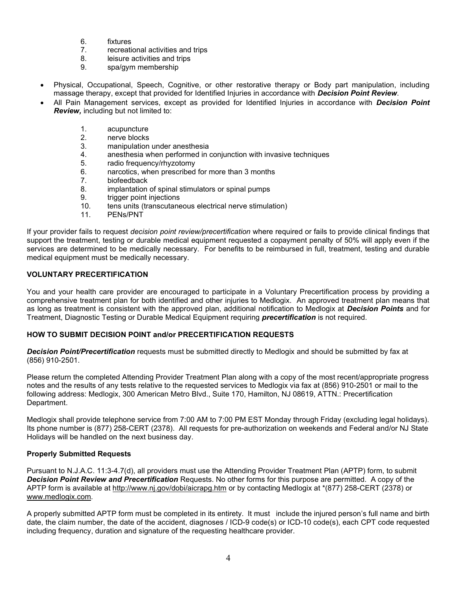- 6. fixtures
- 7. recreational activities and trips
- 8. leisure activities and trips
- 9. spa/gym membership
- Physical, Occupational, Speech, Cognitive, or other restorative therapy or Body part manipulation, including massage therapy, except that provided for Identified Injuries in accordance with **Decision Point Review**.
- All Pain Management services, except as provided for Identified Injuries in accordance with Decision Point Review, including but not limited to:
	- 1. acupuncture
	- 2. nerve blocks
	- 3. manipulation under anesthesia
	- 4. anesthesia when performed in conjunction with invasive techniques
	- 5. radio frequency/rhyzotomy
	- 6. narcotics, when prescribed for more than 3 months
	- 7. biofeedback
	- 8. implantation of spinal stimulators or spinal pumps
	- 9. trigger point injections
	- 10. tens units (transcutaneous electrical nerve stimulation)
	- 11. PENs/PNT

If your provider fails to request *decision point review/precertification* where required or fails to provide clinical findings that support the treatment, testing or durable medical equipment requested a copayment penalty of 50% will apply even if the services are determined to be medically necessary. For benefits to be reimbursed in full, treatment, testing and durable medical equipment must be medically necessary.

## VOLUNTARY PRECERTIFICATION

You and your health care provider are encouraged to participate in a Voluntary Precertification process by providing a comprehensive treatment plan for both identified and other injuries to Medlogix. An approved treatment plan means that as long as treatment is consistent with the approved plan, additional notification to Medlogix at Decision Points and for Treatment, Diagnostic Testing or Durable Medical Equipment requiring **precertification** is not required.

#### HOW TO SUBMIT DECISION POINT and/or PRECERTIFICATION REQUESTS

Decision Point/Precertification requests must be submitted directly to Medlogix and should be submitted by fax at (856) 910-2501.

Please return the completed Attending Provider Treatment Plan along with a copy of the most recent/appropriate progress notes and the results of any tests relative to the requested services to Medlogix via fax at (856) 910-2501 or mail to the following address: Medlogix, 300 American Metro Blvd., Suite 170, Hamilton, NJ 08619, ATTN.: Precertification Department.

Medlogix shall provide telephone service from 7:00 AM to 7:00 PM EST Monday through Friday (excluding legal holidays). Its phone number is (877) 258-CERT (2378). All requests for pre-authorization on weekends and Federal and/or NJ State Holidays will be handled on the next business day.

## Properly Submitted Requests

Pursuant to N.J.A.C. 11:3-4.7(d), all providers must use the Attending Provider Treatment Plan (APTP) form, to submit Decision Point Review and Precertification Requests. No other forms for this purpose are permitted. A copy of the APTP form is available at http://www.nj.gov/dobi/aicrapg.htm or by contacting Medlogix at \*(877) 258-CERT (2378) or www.medlogix.com.

A properly submitted APTP form must be completed in its entirety. It must include the injured person's full name and birth date, the claim number, the date of the accident, diagnoses / ICD-9 code(s) or ICD-10 code(s), each CPT code requested including frequency, duration and signature of the requesting healthcare provider.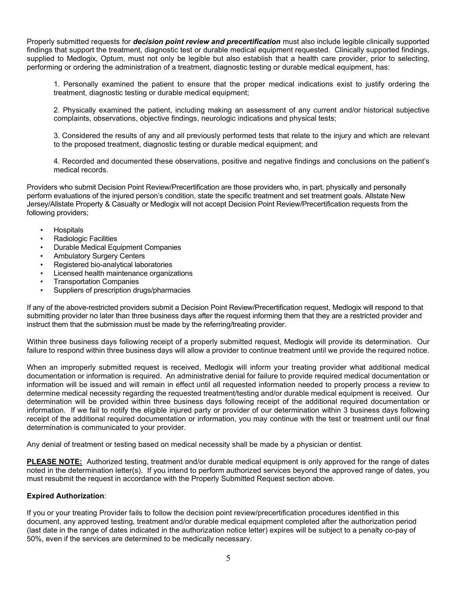Properly submitted requests for *decision point review and precertification* must also include legible clinically supported findings that support the treatment, diagnostic test or durable medical equipment requested. Clinically supported findings, supplied to Medlogix, Optum, must not only be legible but also establish that a health care provider, prior to selecting, performing or ordering the administration of a treatment, diagnostic testing or durable medical equipment, has:

1. Personally examined the patient to ensure that the proper medical indications exist to justify ordering the treatment, diagnostic testing or durable medical equipment;

2. Physically examined the patient, including making an assessment of any current and/or historical subjective complaints, observations, objective findings, neurologic indications and physical tests;

3. Considered the results of any and all previously performed tests that relate to the injury and which are relevant to the proposed treatment, diagnostic testing or durable medical equipment; and

4. Recorded and documented these observations, positive and negative findings and conclusions on the patient's medical records.

Providers who submit Decision Point Review/Precertification are those providers who, in part, physically and personally perform evaluations of the injured person's condition, state the specific treatment and set treatment goals. Allstate New Jersey/Allstate Property & Casualty or Medlogix will not accept Decision Point Review/Precertification requests from the following providers;

- **Hospitals**
- Radiologic Facilities
- Durable Medical Equipment Companies
- Ambulatory Surgery Centers
- Registered bio-analytical laboratories
- Licensed health maintenance organizations
- Transportation Companies
- Suppliers of prescription drugs/pharmacies

If any of the above-restricted providers submit a Decision Point Review/Precertification request, Medlogix will respond to that submitting provider no later than three business days after the request informing them that they are a restricted provider and instruct them that the submission must be made by the referring/treating provider.

Within three business days following receipt of a properly submitted request, Medlogix will provide its determination. Our failure to respond within three business days will allow a provider to continue treatment until we provide the required notice.

When an improperly submitted request is received, Medlogix will inform your treating provider what additional medical documentation or information is required. An administrative denial for failure to provide required medical documentation or information will be issued and will remain in effect until all requested information needed to properly process a review to determine medical necessity regarding the requested treatment/testing and/or durable medical equipment is received. Our determination will be provided within three business days following receipt of the additional required documentation or information. If we fail to notify the eligible injured party or provider of our determination within 3 business days following receipt of the additional required documentation or information, you may continue with the test or treatment until our final determination is communicated to your provider.

Any denial of treatment or testing based on medical necessity shall be made by a physician or dentist.

PLEASE NOTE: Authorized testing, treatment and/or durable medical equipment is only approved for the range of dates noted in the determination letter(s). If you intend to perform authorized services beyond the approved range of dates, you must resubmit the request in accordance with the Properly Submitted Request section above.

#### Expired Authorization:

If you or your treating Provider fails to follow the decision point review/precertification procedures identified in this document, any approved testing, treatment and/or durable medical equipment completed after the authorization period (last date in the range of dates indicated in the authorization notice letter) expires will be subject to a penalty co-pay of 50%, even if the services are determined to be medically necessary.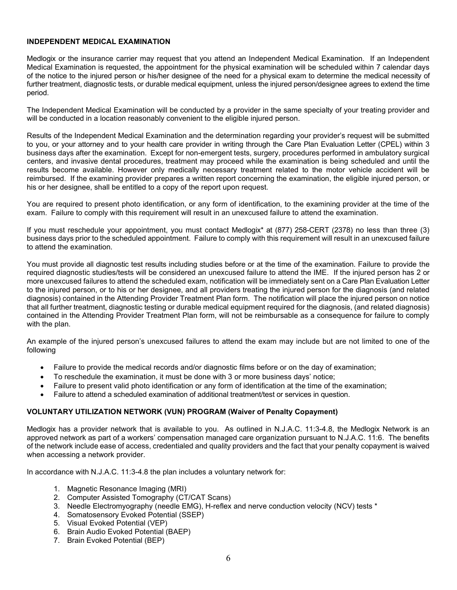#### INDEPENDENT MEDICAL EXAMINATION

Medlogix or the insurance carrier may request that you attend an Independent Medical Examination. If an Independent Medical Examination is requested, the appointment for the physical examination will be scheduled within 7 calendar days of the notice to the injured person or his/her designee of the need for a physical exam to determine the medical necessity of further treatment, diagnostic tests, or durable medical equipment, unless the injured person/designee agrees to extend the time period.

The Independent Medical Examination will be conducted by a provider in the same specialty of your treating provider and will be conducted in a location reasonably convenient to the eligible injured person.

Results of the Independent Medical Examination and the determination regarding your provider's request will be submitted to you, or your attorney and to your health care provider in writing through the Care Plan Evaluation Letter (CPEL) within 3 business days after the examination. Except for non-emergent tests, surgery, procedures performed in ambulatory surgical centers, and invasive dental procedures, treatment may proceed while the examination is being scheduled and until the results become available. However only medically necessary treatment related to the motor vehicle accident will be reimbursed. If the examining provider prepares a written report concerning the examination, the eligible injured person, or his or her designee, shall be entitled to a copy of the report upon request.

You are required to present photo identification, or any form of identification, to the examining provider at the time of the exam. Failure to comply with this requirement will result in an unexcused failure to attend the examination.

If you must reschedule your appointment, you must contact Medlogix\* at (877) 258-CERT (2378) no less than three (3) business days prior to the scheduled appointment. Failure to comply with this requirement will result in an unexcused failure to attend the examination.

You must provide all diagnostic test results including studies before or at the time of the examination. Failure to provide the required diagnostic studies/tests will be considered an unexcused failure to attend the IME. If the injured person has 2 or more unexcused failures to attend the scheduled exam, notification will be immediately sent on a Care Plan Evaluation Letter to the injured person, or to his or her designee, and all providers treating the injured person for the diagnosis (and related diagnosis) contained in the Attending Provider Treatment Plan form. The notification will place the injured person on notice that all further treatment, diagnostic testing or durable medical equipment required for the diagnosis, (and related diagnosis) contained in the Attending Provider Treatment Plan form, will not be reimbursable as a consequence for failure to comply with the plan.

An example of the injured person's unexcused failures to attend the exam may include but are not limited to one of the following

- Failure to provide the medical records and/or diagnostic films before or on the day of examination;
- To reschedule the examination, it must be done with 3 or more business days' notice;
- Failure to present valid photo identification or any form of identification at the time of the examination;
- Failure to attend a scheduled examination of additional treatment/test or services in question.

## VOLUNTARY UTILIZATION NETWORK (VUN) PROGRAM (Waiver of Penalty Copayment)

Medlogix has a provider network that is available to you. As outlined in N.J.A.C. 11:3-4.8, the Medlogix Network is an approved network as part of a workers' compensation managed care organization pursuant to N.J.A.C. 11:6. The benefits of the network include ease of access, credentialed and quality providers and the fact that your penalty copayment is waived when accessing a network provider.

In accordance with N.J.A.C. 11:3-4.8 the plan includes a voluntary network for:

- 1. Magnetic Resonance Imaging (MRI)
- 2. Computer Assisted Tomography (CT/CAT Scans)
- 3. Needle Electromyography (needle EMG), H-reflex and nerve conduction velocity (NCV) tests \*
- 4. Somatosensory Evoked Potential (SSEP)
- 5. Visual Evoked Potential (VEP)
- 6. Brain Audio Evoked Potential (BAEP)
- 7. Brain Evoked Potential (BEP)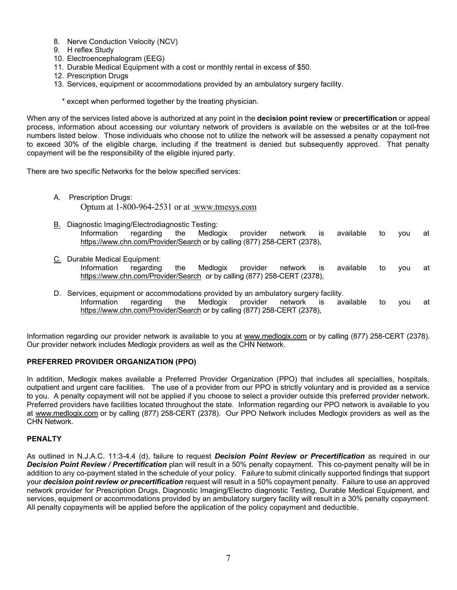- 8. Nerve Conduction Velocity (NCV)
- 9. H reflex Study
- 10. Electroencephalogram (EEG)
- 11. Durable Medical Equipment with a cost or monthly rental in excess of \$50.
- 12. Prescription Drugs
- 13. Services, equipment or accommodations provided by an ambulatory surgery facility.
	- \* except when performed together by the treating physician.

When any of the services listed above is authorized at any point in the decision point review or precertification or appeal process, information about accessing our voluntary network of providers is available on the websites or at the toll-free numbers listed below. Those individuals who choose not to utilize the network will be assessed a penalty copayment not to exceed 30% of the eligible charge, including if the treatment is denied but subsequently approved. That penalty copayment will be the responsibility of the eligible injured party.

There are two specific Networks for the below specified services:

- A. Prescription Drugs: Optum at 1-800-964-2531 or at www.tmesys.com
- B. Diagnostic Imaging/Electrodiagnostic Testing: Information regarding the Medlogix provider network is available to you at https://www.chn.com/Provider/Search or by calling (877) 258-CERT (2378),
- C. Durable Medical Equipment: Information regarding the Medlogix provider network is available to you at https://www.chn.com/Provider/Search or by calling (877) 258-CERT (2378),
- D. Services, equipment or accommodations provided by an ambulatory surgery facility. Information regarding the Medlogix provider network is available to you at https://www.chn.com/Provider/Search or by calling (877) 258-CERT (2378),

Information regarding our provider network is available to you at www.medlogix.com or by calling (877) 258-CERT (2378). Our provider network includes Medlogix providers as well as the CHN Network.

## PREFERRED PROVIDER ORGANIZATION (PPO)

In addition, Medlogix makes available a Preferred Provider Organization (PPO) that includes all specialties, hospitals, outpatient and urgent care facilities. The use of a provider from our PPO is strictly voluntary and is provided as a service to you. A penalty copayment will not be applied if you choose to select a provider outside this preferred provider network. Preferred providers have facilities located throughout the state. Information regarding our PPO network is available to you at www.medlogix.com or by calling (877) 258-CERT (2378). Our PPO Network includes Medlogix providers as well as the CHN Network.

## **PENALTY**

As outlined in N.J.A.C. 11:3-4.4 (d), failure to request **Decision Point Review or Precertification** as required in our Decision Point Review / Precertification plan will result in a 50% penalty copayment. This co-payment penalty will be in addition to any co-payment stated in the schedule of your policy. Failure to submit clinically supported findings that support your **decision point review or precertification** request will result in a 50% copayment penalty. Failure to use an approved network provider for Prescription Drugs, Diagnostic Imaging/Electro diagnostic Testing, Durable Medical Equipment, and services, equipment or accommodations provided by an ambulatory surgery facility will result in a 30% penalty copayment. All penalty copayments will be applied before the application of the policy copayment and deductible.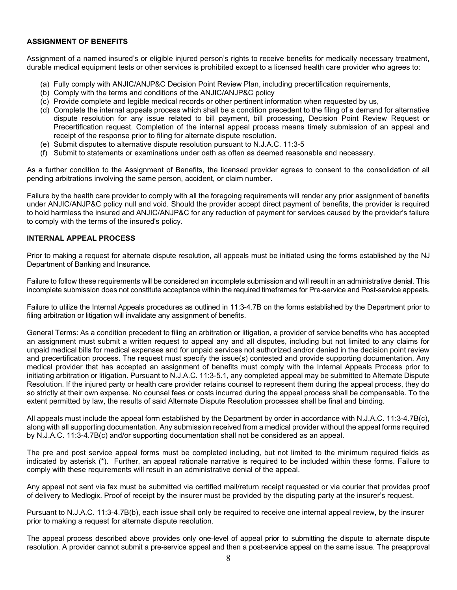#### ASSIGNMENT OF BENEFITS

Assignment of a named insured's or eligible injured person's rights to receive benefits for medically necessary treatment, durable medical equipment tests or other services is prohibited except to a licensed health care provider who agrees to:

- (a) Fully comply with ANJIC/ANJP&C Decision Point Review Plan, including precertification requirements,
- (b) Comply with the terms and conditions of the ANJIC/ANJP&C policy
- (c) Provide complete and legible medical records or other pertinent information when requested by us,
- (d) Complete the internal appeals process which shall be a condition precedent to the filing of a demand for alternative dispute resolution for any issue related to bill payment, bill processing, Decision Point Review Request or Precertification request. Completion of the internal appeal process means timely submission of an appeal and receipt of the response prior to filing for alternate dispute resolution.
- (e) Submit disputes to alternative dispute resolution pursuant to N.J.A.C. 11:3-5
- (f) Submit to statements or examinations under oath as often as deemed reasonable and necessary.

As a further condition to the Assignment of Benefits, the licensed provider agrees to consent to the consolidation of all pending arbitrations involving the same person, accident, or claim number.

Failure by the health care provider to comply with all the foregoing requirements will render any prior assignment of benefits under ANJIC/ANJP&C policy null and void. Should the provider accept direct payment of benefits, the provider is required to hold harmless the insured and ANJIC/ANJP&C for any reduction of payment for services caused by the provider's failure to comply with the terms of the insured's policy.

#### INTERNAL APPEAL PROCESS

Prior to making a request for alternate dispute resolution, all appeals must be initiated using the forms established by the NJ Department of Banking and Insurance.

Failure to follow these requirements will be considered an incomplete submission and will result in an administrative denial. This incomplete submission does not constitute acceptance within the required timeframes for Pre-service and Post-service appeals.

Failure to utilize the Internal Appeals procedures as outlined in 11:3-4.7B on the forms established by the Department prior to filing arbitration or litigation will invalidate any assignment of benefits.

General Terms: As a condition precedent to filing an arbitration or litigation, a provider of service benefits who has accepted an assignment must submit a written request to appeal any and all disputes, including but not limited to any claims for unpaid medical bills for medical expenses and for unpaid services not authorized and/or denied in the decision point review and precertification process. The request must specify the issue(s) contested and provide supporting documentation. Any medical provider that has accepted an assignment of benefits must comply with the Internal Appeals Process prior to initiating arbitration or litigation. Pursuant to N.J.A.C. 11:3-5.1, any completed appeal may be submitted to Alternate Dispute Resolution. If the injured party or health care provider retains counsel to represent them during the appeal process, they do so strictly at their own expense. No counsel fees or costs incurred during the appeal process shall be compensable. To the extent permitted by law, the results of said Alternate Dispute Resolution processes shall be final and binding.

All appeals must include the appeal form established by the Department by order in accordance with N.J.A.C. 11:3-4.7B(c), along with all supporting documentation. Any submission received from a medical provider without the appeal forms required by N.J.A.C. 11:3-4.7B(c) and/or supporting documentation shall not be considered as an appeal.

The pre and post service appeal forms must be completed including, but not limited to the minimum required fields as indicated by asterisk (\*). Further, an appeal rationale narrative is required to be included within these forms. Failure to comply with these requirements will result in an administrative denial of the appeal.

Any appeal not sent via fax must be submitted via certified mail/return receipt requested or via courier that provides proof of delivery to Medlogix. Proof of receipt by the insurer must be provided by the disputing party at the insurer's request.

Pursuant to N.J.A.C. 11:3-4.7B(b), each issue shall only be required to receive one internal appeal review, by the insurer prior to making a request for alternate dispute resolution.

The appeal process described above provides only one-level of appeal prior to submitting the dispute to alternate dispute resolution. A provider cannot submit a pre-service appeal and then a post-service appeal on the same issue. The preapproval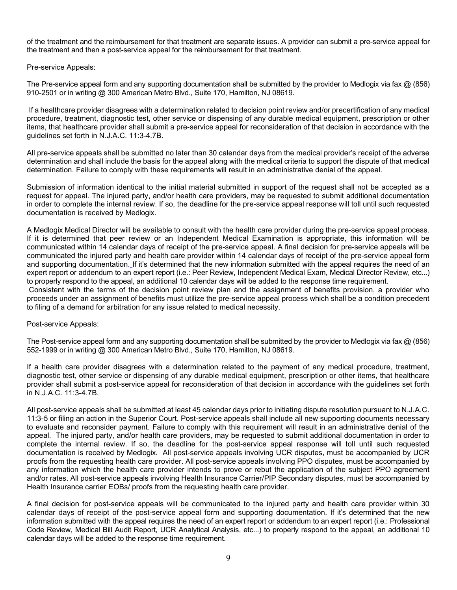of the treatment and the reimbursement for that treatment are separate issues. A provider can submit a pre-service appeal for the treatment and then a post-service appeal for the reimbursement for that treatment.

Pre-service Appeals:

The Pre-service appeal form and any supporting documentation shall be submitted by the provider to Medlogix via fax  $\omega$  (856) 910-2501 or in writing @ 300 American Metro Blvd., Suite 170, Hamilton, NJ 08619.

 If a healthcare provider disagrees with a determination related to decision point review and/or precertification of any medical procedure, treatment, diagnostic test, other service or dispensing of any durable medical equipment, prescription or other items, that healthcare provider shall submit a pre-service appeal for reconsideration of that decision in accordance with the guidelines set forth in N.J.A.C. 11:3-4.7B.

All pre-service appeals shall be submitted no later than 30 calendar days from the medical provider's receipt of the adverse determination and shall include the basis for the appeal along with the medical criteria to support the dispute of that medical determination. Failure to comply with these requirements will result in an administrative denial of the appeal.

Submission of information identical to the initial material submitted in support of the request shall not be accepted as a request for appeal. The injured party, and/or health care providers, may be requested to submit additional documentation in order to complete the internal review. If so, the deadline for the pre-service appeal response will toll until such requested documentation is received by Medlogix.

A Medlogix Medical Director will be available to consult with the health care provider during the pre-service appeal process. If it is determined that peer review or an Independent Medical Examination is appropriate, this information will be communicated within 14 calendar days of receipt of the pre-service appeal. A final decision for pre-service appeals will be communicated the injured party and health care provider within 14 calendar days of receipt of the pre-service appeal form and supporting documentation. If it's determined that the new information submitted with the appeal requires the need of an expert report or addendum to an expert report (i.e.: Peer Review, Independent Medical Exam, Medical Director Review, etc...) to properly respond to the appeal, an additional 10 calendar days will be added to the response time requirement.

 Consistent with the terms of the decision point review plan and the assignment of benefits provision, a provider who proceeds under an assignment of benefits must utilize the pre-service appeal process which shall be a condition precedent to filing of a demand for arbitration for any issue related to medical necessity.

Post-service Appeals:

The Post-service appeal form and any supporting documentation shall be submitted by the provider to Medlogix via fax  $\omega$  (856) 552-1999 or in writing @ 300 American Metro Blvd., Suite 170, Hamilton, NJ 08619.

If a health care provider disagrees with a determination related to the payment of any medical procedure, treatment, diagnostic test, other service or dispensing of any durable medical equipment, prescription or other items, that healthcare provider shall submit a post-service appeal for reconsideration of that decision in accordance with the guidelines set forth in N.J.A.C. 11:3-4.7B.

All post-service appeals shall be submitted at least 45 calendar days prior to initiating dispute resolution pursuant to N.J.A.C. 11:3-5 or filing an action in the Superior Court. Post-service appeals shall include all new supporting documents necessary to evaluate and reconsider payment. Failure to comply with this requirement will result in an administrative denial of the appeal. The injured party, and/or health care providers, may be requested to submit additional documentation in order to complete the internal review. If so, the deadline for the post-service appeal response will toll until such requested documentation is received by Medlogix. All post-service appeals involving UCR disputes, must be accompanied by UCR proofs from the requesting health care provider. All post-service appeals involving PPO disputes, must be accompanied by any information which the health care provider intends to prove or rebut the application of the subject PPO agreement and/or rates. All post-service appeals involving Health Insurance Carrier/PIP Secondary disputes, must be accompanied by Health Insurance carrier EOBs/ proofs from the requesting health care provider.

A final decision for post-service appeals will be communicated to the injured party and health care provider within 30 calendar days of receipt of the post-service appeal form and supporting documentation. If it's determined that the new information submitted with the appeal requires the need of an expert report or addendum to an expert report (i.e.: Professional Code Review, Medical Bill Audit Report, UCR Analytical Analysis, etc...) to properly respond to the appeal, an additional 10 calendar days will be added to the response time requirement.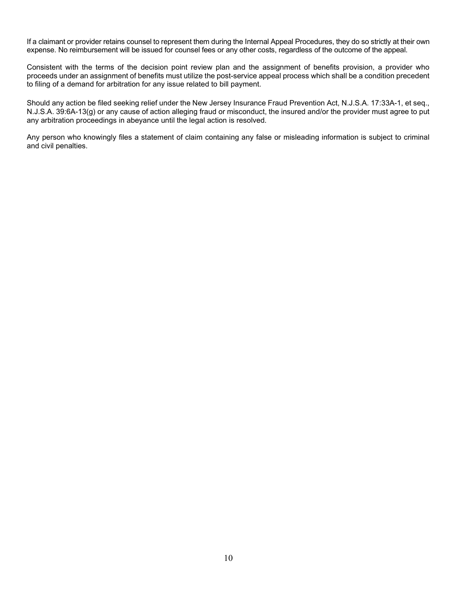If a claimant or provider retains counsel to represent them during the Internal Appeal Procedures, they do so strictly at their own expense. No reimbursement will be issued for counsel fees or any other costs, regardless of the outcome of the appeal.

Consistent with the terms of the decision point review plan and the assignment of benefits provision, a provider who proceeds under an assignment of benefits must utilize the post-service appeal process which shall be a condition precedent to filing of a demand for arbitration for any issue related to bill payment.

Should any action be filed seeking relief under the New Jersey Insurance Fraud Prevention Act, N.J.S.A. 17:33A-1, et seq., N.J.S.A. 39:6A-13(g) or any cause of action alleging fraud or misconduct, the insured and/or the provider must agree to put any arbitration proceedings in abeyance until the legal action is resolved.

Any person who knowingly files a statement of claim containing any false or misleading information is subject to criminal and civil penalties.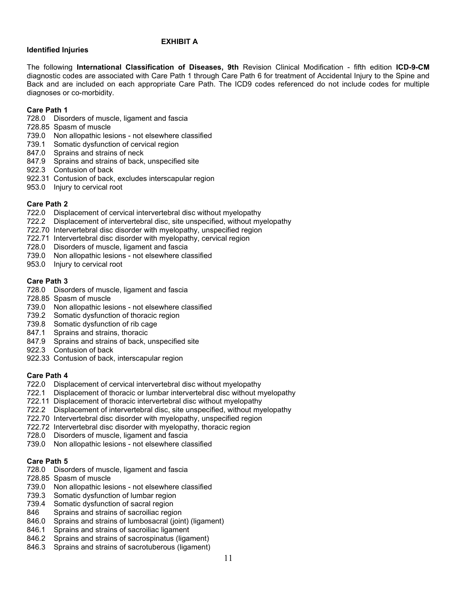#### EXHIBIT A

#### Identified Injuries

The following International Classification of Diseases, 9th Revision Clinical Modification - fifth edition ICD-9-CM diagnostic codes are associated with Care Path 1 through Care Path 6 for treatment of Accidental Injury to the Spine and Back and are included on each appropriate Care Path. The ICD9 codes referenced do not include codes for multiple diagnoses or co-morbidity.

#### Care Path 1

- 728.0 Disorders of muscle, ligament and fascia
- 728.85 Spasm of muscle
- 739.0 Non allopathic lesions not elsewhere classified
- 739.1 Somatic dysfunction of cervical region
- 847.0 Sprains and strains of neck
- 847.9 Sprains and strains of back, unspecified site
- 922.3 Contusion of back
- 922.31 Contusion of back, excludes interscapular region
- 953.0 Injury to cervical root

## Care Path 2

- 722.0 Displacement of cervical intervertebral disc without myelopathy
- 722.2 Displacement of intervertebral disc, site unspecified, without myelopathy
- 722.70 Intervertebral disc disorder with myelopathy, unspecified region
- 722.71 Intervertebral disc disorder with myelopathy, cervical region
- 728.0 Disorders of muscle, ligament and fascia
- 739.0 Non allopathic lesions not elsewhere classified
- 953.0 Injury to cervical root

#### Care Path 3

- 728.0 Disorders of muscle, ligament and fascia
- 728.85 Spasm of muscle
- 739.0 Non allopathic lesions not elsewhere classified
- 739.2 Somatic dysfunction of thoracic region
- 739.8 Somatic dysfunction of rib cage
- 847.1 Sprains and strains, thoracic
- 847.9 Sprains and strains of back, unspecified site
- 922.3 Contusion of back
- 922.33 Contusion of back, interscapular region

## Care Path 4

- 722.0 Displacement of cervical intervertebral disc without myelopathy
- 722.1 Displacement of thoracic or lumbar intervertebral disc without myelopathy
- 722.11 Displacement of thoracic intervertebral disc without myelopathy
- 722.2 Displacement of intervertebral disc, site unspecified, without myelopathy
- 722.70 Intervertebral disc disorder with myelopathy, unspecified region
- 722.72 Intervertebral disc disorder with myelopathy, thoracic region
- 728.0 Disorders of muscle, ligament and fascia
- 739.0 Non allopathic lesions not elsewhere classified

## Care Path 5

- 728.0 Disorders of muscle, ligament and fascia
- 728.85 Spasm of muscle
- 739.0 Non allopathic lesions not elsewhere classified
- 739.3 Somatic dysfunction of lumbar region
- 739.4 Somatic dysfunction of sacral region
- 846 Sprains and strains of sacroiliac region
- 846.0 Sprains and strains of lumbosacral (joint) (ligament)
- 846.1 Sprains and strains of sacroiliac ligament
- 846.2 Sprains and strains of sacrospinatus (ligament)
- 846.3 Sprains and strains of sacrotuberous (ligament)